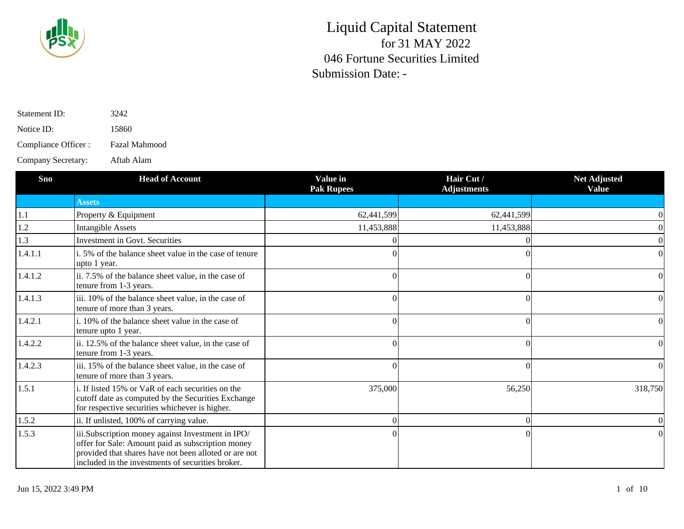

| Statement ID:        | 3242          |
|----------------------|---------------|
| Notice ID:           | 15860         |
| Compliance Officer : | Fazal Mahmood |
| Company Secretary:   | Aftab Alam    |

| <b>Sno</b> | <b>Head of Account</b>                                                                                                                                                                                               | Value in<br><b>Pak Rupees</b> | Hair Cut/<br><b>Adjustments</b> | <b>Net Adjusted</b><br><b>Value</b> |
|------------|----------------------------------------------------------------------------------------------------------------------------------------------------------------------------------------------------------------------|-------------------------------|---------------------------------|-------------------------------------|
|            | <b>Assets</b>                                                                                                                                                                                                        |                               |                                 |                                     |
| $1.1\,$    | Property & Equipment                                                                                                                                                                                                 | 62,441,599                    | 62,441,599                      |                                     |
| 1.2        | <b>Intangible Assets</b>                                                                                                                                                                                             | 11,453,888                    | 11,453,888                      |                                     |
| 1.3        | Investment in Govt. Securities                                                                                                                                                                                       |                               |                                 |                                     |
| 1.4.1.1    | i. 5% of the balance sheet value in the case of tenure<br>upto 1 year.                                                                                                                                               |                               |                                 |                                     |
| 1.4.1.2    | ii. 7.5% of the balance sheet value, in the case of<br>tenure from 1-3 years.                                                                                                                                        |                               |                                 | $\Omega$                            |
| 1.4.1.3    | iii. 10% of the balance sheet value, in the case of<br>tenure of more than 3 years.                                                                                                                                  |                               |                                 |                                     |
| 1.4.2.1    | i. 10% of the balance sheet value in the case of<br>tenure upto 1 year.                                                                                                                                              |                               |                                 |                                     |
| 1.4.2.2    | ii. 12.5% of the balance sheet value, in the case of<br>tenure from 1-3 years.                                                                                                                                       |                               |                                 | 0                                   |
| 1.4.2.3    | iii. 15% of the balance sheet value, in the case of<br>tenure of more than 3 years.                                                                                                                                  |                               |                                 |                                     |
| 1.5.1      | i. If listed 15% or VaR of each securities on the<br>cutoff date as computed by the Securities Exchange<br>for respective securities whichever is higher.                                                            | 375,000                       | 56,250                          | 318,750                             |
| 1.5.2      | ii. If unlisted, 100% of carrying value.                                                                                                                                                                             |                               |                                 |                                     |
| 1.5.3      | iii.Subscription money against Investment in IPO/<br>offer for Sale: Amount paid as subscription money<br>provided that shares have not been alloted or are not<br>included in the investments of securities broker. |                               |                                 |                                     |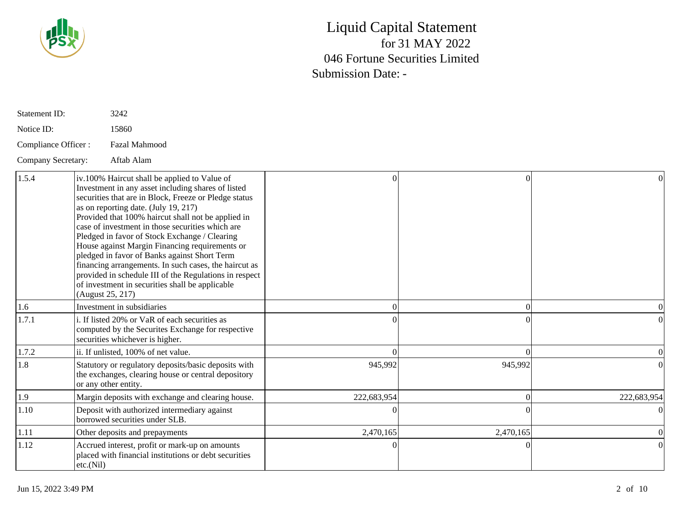

| Statement ID:       | 3242                                                                                                                                                                                                                                                                                                                                                                                                                                                                                                                                                                                                                                                       |             |           |             |
|---------------------|------------------------------------------------------------------------------------------------------------------------------------------------------------------------------------------------------------------------------------------------------------------------------------------------------------------------------------------------------------------------------------------------------------------------------------------------------------------------------------------------------------------------------------------------------------------------------------------------------------------------------------------------------------|-------------|-----------|-------------|
| Notice ID:          | 15860                                                                                                                                                                                                                                                                                                                                                                                                                                                                                                                                                                                                                                                      |             |           |             |
| Compliance Officer: | Fazal Mahmood                                                                                                                                                                                                                                                                                                                                                                                                                                                                                                                                                                                                                                              |             |           |             |
| Company Secretary:  | Aftab Alam                                                                                                                                                                                                                                                                                                                                                                                                                                                                                                                                                                                                                                                 |             |           |             |
| 1.5.4               | iv.100% Haircut shall be applied to Value of<br>Investment in any asset including shares of listed<br>securities that are in Block, Freeze or Pledge status<br>as on reporting date. (July 19, 217)<br>Provided that 100% haircut shall not be applied in<br>case of investment in those securities which are<br>Pledged in favor of Stock Exchange / Clearing<br>House against Margin Financing requirements or<br>pledged in favor of Banks against Short Term<br>financing arrangements. In such cases, the haircut as<br>provided in schedule III of the Regulations in respect<br>of investment in securities shall be applicable<br>(August 25, 217) | $\bigcap$   | $\Omega$  |             |
| 1.6                 | Investment in subsidiaries                                                                                                                                                                                                                                                                                                                                                                                                                                                                                                                                                                                                                                 |             | $\Omega$  |             |
| 1.7.1               | i. If listed 20% or VaR of each securities as<br>computed by the Securites Exchange for respective<br>securities whichever is higher.                                                                                                                                                                                                                                                                                                                                                                                                                                                                                                                      |             |           |             |
| 1.7.2               | ii. If unlisted, 100% of net value.                                                                                                                                                                                                                                                                                                                                                                                                                                                                                                                                                                                                                        |             | $\Omega$  |             |
| 1.8                 | Statutory or regulatory deposits/basic deposits with<br>the exchanges, clearing house or central depository<br>or any other entity.                                                                                                                                                                                                                                                                                                                                                                                                                                                                                                                        | 945,992     | 945,992   |             |
| 1.9                 | Margin deposits with exchange and clearing house.                                                                                                                                                                                                                                                                                                                                                                                                                                                                                                                                                                                                          | 222,683,954 | $\Omega$  | 222,683,954 |
| 1.10                | Deposit with authorized intermediary against<br>borrowed securities under SLB.                                                                                                                                                                                                                                                                                                                                                                                                                                                                                                                                                                             |             |           |             |
| 1.11                | Other deposits and prepayments                                                                                                                                                                                                                                                                                                                                                                                                                                                                                                                                                                                                                             | 2,470,165   | 2,470,165 |             |
| 1.12                | Accrued interest, profit or mark-up on amounts<br>placed with financial institutions or debt securities<br>etc.(Nil)                                                                                                                                                                                                                                                                                                                                                                                                                                                                                                                                       |             |           |             |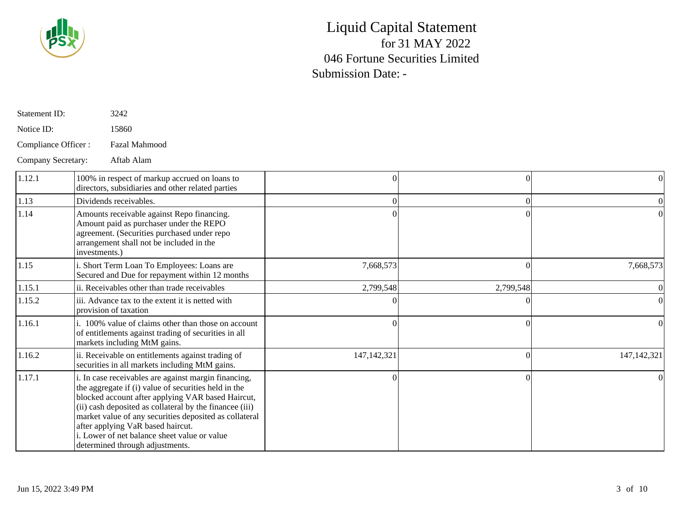

| Statement ID:       | 3242                                                                                                                                                                                                                                                                                                                                                                                                           |               |           |               |
|---------------------|----------------------------------------------------------------------------------------------------------------------------------------------------------------------------------------------------------------------------------------------------------------------------------------------------------------------------------------------------------------------------------------------------------------|---------------|-----------|---------------|
| Notice ID:          | 15860                                                                                                                                                                                                                                                                                                                                                                                                          |               |           |               |
| Compliance Officer: | Fazal Mahmood                                                                                                                                                                                                                                                                                                                                                                                                  |               |           |               |
| Company Secretary:  | Aftab Alam                                                                                                                                                                                                                                                                                                                                                                                                     |               |           |               |
| 1.12.1              | 100% in respect of markup accrued on loans to<br>directors, subsidiaries and other related parties                                                                                                                                                                                                                                                                                                             |               | $\theta$  | 01            |
| 1.13                | Dividends receivables.                                                                                                                                                                                                                                                                                                                                                                                         |               | $\Omega$  |               |
| 1.14                | Amounts receivable against Repo financing.<br>Amount paid as purchaser under the REPO<br>agreement. (Securities purchased under repo<br>arrangement shall not be included in the<br>investments.)                                                                                                                                                                                                              |               |           |               |
| 1.15                | i. Short Term Loan To Employees: Loans are<br>Secured and Due for repayment within 12 months                                                                                                                                                                                                                                                                                                                   | 7,668,573     | $\Omega$  | 7,668,573     |
| 1.15.1              | ii. Receivables other than trade receivables                                                                                                                                                                                                                                                                                                                                                                   | 2,799,548     | 2,799,548 |               |
| 1.15.2              | iii. Advance tax to the extent it is netted with<br>provision of taxation                                                                                                                                                                                                                                                                                                                                      |               | 0         |               |
| 1.16.1              | i. 100% value of claims other than those on account<br>of entitlements against trading of securities in all<br>markets including MtM gains.                                                                                                                                                                                                                                                                    |               | $\Omega$  |               |
| 1.16.2              | ii. Receivable on entitlements against trading of<br>securities in all markets including MtM gains.                                                                                                                                                                                                                                                                                                            | 147, 142, 321 | $\Omega$  | 147, 142, 321 |
| 1.17.1              | i. In case receivables are against margin financing,<br>the aggregate if (i) value of securities held in the<br>blocked account after applying VAR based Haircut,<br>(ii) cash deposited as collateral by the financee (iii)<br>market value of any securities deposited as collateral<br>after applying VaR based haircut.<br>i. Lower of net balance sheet value or value<br>determined through adjustments. |               | $\Omega$  |               |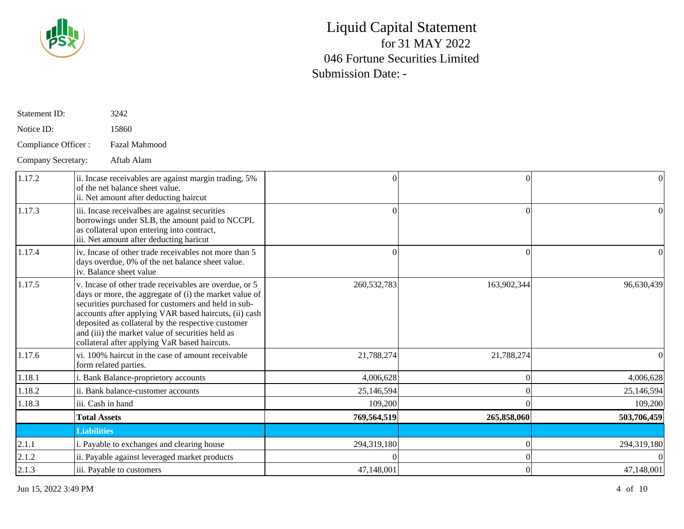

| Statement ID:       | 3242                                                                                                                                                                                                                                                                                                                                                                                        |             |                |             |
|---------------------|---------------------------------------------------------------------------------------------------------------------------------------------------------------------------------------------------------------------------------------------------------------------------------------------------------------------------------------------------------------------------------------------|-------------|----------------|-------------|
| Notice ID:          | 15860                                                                                                                                                                                                                                                                                                                                                                                       |             |                |             |
| Compliance Officer: | Fazal Mahmood                                                                                                                                                                                                                                                                                                                                                                               |             |                |             |
| Company Secretary:  | Aftab Alam                                                                                                                                                                                                                                                                                                                                                                                  |             |                |             |
| 1.17.2              | ii. Incase receivables are against margin trading, 5%<br>of the net balance sheet value.<br>ii. Net amount after deducting haircut                                                                                                                                                                                                                                                          |             | $\theta$       | 0           |
| 1.17.3              | iii. Incase receivalbes are against securities<br>borrowings under SLB, the amount paid to NCCPL<br>as collateral upon entering into contract,<br>iii. Net amount after deducting haricut                                                                                                                                                                                                   |             | $\Omega$       |             |
| 1.17.4              | iv. Incase of other trade receivables not more than 5<br>days overdue, 0% of the net balance sheet value.<br>iv. Balance sheet value                                                                                                                                                                                                                                                        |             | $\Omega$       |             |
| 1.17.5              | v. Incase of other trade receivables are overdue, or 5<br>days or more, the aggregate of (i) the market value of<br>securities purchased for customers and held in sub-<br>accounts after applying VAR based haircuts, (ii) cash<br>deposited as collateral by the respective customer<br>and (iii) the market value of securities held as<br>collateral after applying VaR based haircuts. | 260,532,783 | 163,902,344    | 96,630,439  |
| 1.17.6              | vi. 100% haircut in the case of amount receivable<br>form related parties.                                                                                                                                                                                                                                                                                                                  | 21,788,274  | 21,788,274     |             |
| 1.18.1              | i. Bank Balance-proprietory accounts                                                                                                                                                                                                                                                                                                                                                        | 4,006,628   | $\theta$       | 4,006,628   |
| 1.18.2              | ii. Bank balance-customer accounts                                                                                                                                                                                                                                                                                                                                                          | 25,146,594  | $\Omega$       | 25,146,594  |
| 1.18.3              | iii. Cash in hand                                                                                                                                                                                                                                                                                                                                                                           | 109,200     |                | 109,200     |
|                     | <b>Total Assets</b>                                                                                                                                                                                                                                                                                                                                                                         | 769,564,519 | 265,858,060    | 503,706,459 |
|                     | <b>Liabilities</b>                                                                                                                                                                                                                                                                                                                                                                          |             |                |             |
| 2.1.1               | i. Payable to exchanges and clearing house                                                                                                                                                                                                                                                                                                                                                  | 294,319,180 | $\Omega$       | 294,319,180 |
| 2.1.2               | ii. Payable against leveraged market products                                                                                                                                                                                                                                                                                                                                               |             | $\Omega$       |             |
| 2.1.3               | iii. Payable to customers                                                                                                                                                                                                                                                                                                                                                                   | 47,148,001  | $\overline{0}$ | 47,148,001  |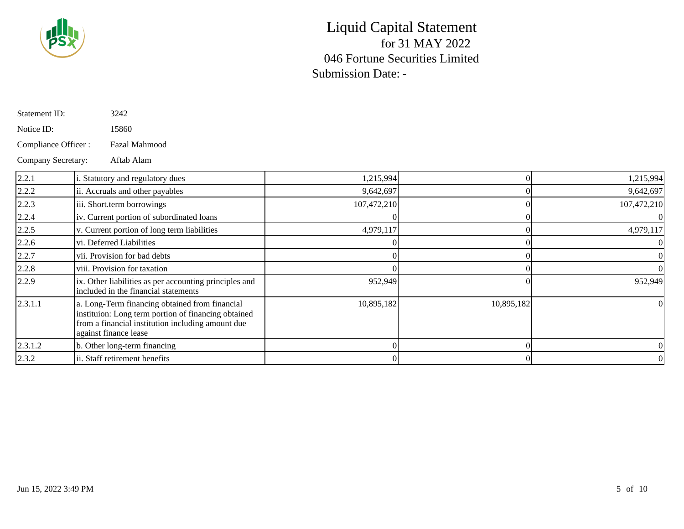

| Statement ID:       | 3242                                                                                                                                                                                |             |            |             |
|---------------------|-------------------------------------------------------------------------------------------------------------------------------------------------------------------------------------|-------------|------------|-------------|
| Notice ID:          | 15860                                                                                                                                                                               |             |            |             |
| Compliance Officer: | Fazal Mahmood                                                                                                                                                                       |             |            |             |
| Company Secretary:  | Aftab Alam                                                                                                                                                                          |             |            |             |
| 2.2.1               | i. Statutory and regulatory dues                                                                                                                                                    | 1,215,994   |            | 1,215,994   |
| 2.2.2               | ii. Accruals and other payables                                                                                                                                                     | 9,642,697   |            | 9,642,697   |
| 2.2.3               | iii. Short.term borrowings                                                                                                                                                          | 107,472,210 |            | 107,472,210 |
| 2.2.4               | iv. Current portion of subordinated loans                                                                                                                                           |             |            |             |
| 2.2.5               | v. Current portion of long term liabilities                                                                                                                                         | 4,979,117   |            | 4,979,117   |
| 2.2.6               | vi. Deferred Liabilities                                                                                                                                                            |             |            |             |
| 2.2.7               | vii. Provision for bad debts                                                                                                                                                        |             |            |             |
| 2.2.8               | viii. Provision for taxation                                                                                                                                                        |             |            |             |
| 2.2.9               | ix. Other liabilities as per accounting principles and<br>included in the financial statements                                                                                      | 952,949     |            | 952,949     |
| 2.3.1.1             | a. Long-Term financing obtained from financial<br>instituion: Long term portion of financing obtained<br>from a financial institution including amount due<br>against finance lease | 10,895,182  | 10,895,182 |             |
| 2.3.1.2             | b. Other long-term financing                                                                                                                                                        |             |            |             |
| 2.3.2               | ii. Staff retirement benefits                                                                                                                                                       |             |            |             |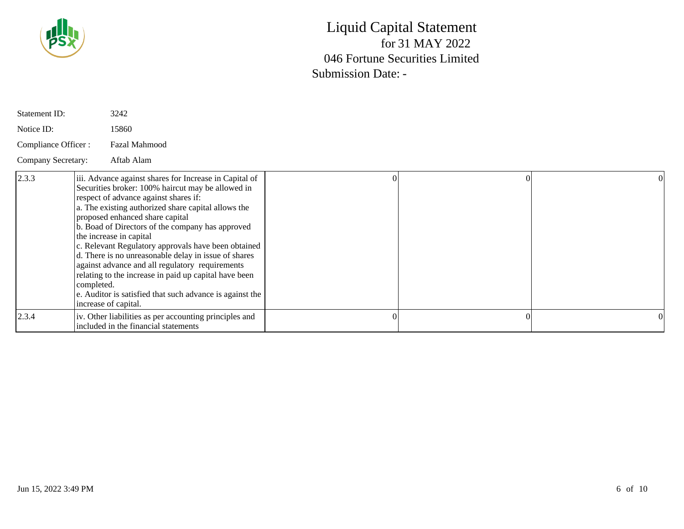

| Statement ID:       | 3242                                                                                                                                                                                                                                                                                                                                                                                                                                                                                                                                                                                                                                                       |  |  |
|---------------------|------------------------------------------------------------------------------------------------------------------------------------------------------------------------------------------------------------------------------------------------------------------------------------------------------------------------------------------------------------------------------------------------------------------------------------------------------------------------------------------------------------------------------------------------------------------------------------------------------------------------------------------------------------|--|--|
| Notice ID:          | 15860                                                                                                                                                                                                                                                                                                                                                                                                                                                                                                                                                                                                                                                      |  |  |
| Compliance Officer: | <b>Fazal Mahmood</b>                                                                                                                                                                                                                                                                                                                                                                                                                                                                                                                                                                                                                                       |  |  |
| Company Secretary:  | Aftab Alam                                                                                                                                                                                                                                                                                                                                                                                                                                                                                                                                                                                                                                                 |  |  |
| 2.3.3               | iii. Advance against shares for Increase in Capital of<br>Securities broker: 100% haircut may be allowed in<br>respect of advance against shares if:<br>a. The existing authorized share capital allows the<br>proposed enhanced share capital<br>b. Boad of Directors of the company has approved<br>the increase in capital<br>c. Relevant Regulatory approvals have been obtained<br>d. There is no unreasonable delay in issue of shares<br>against advance and all regulatory requirements<br>relating to the increase in paid up capital have been<br>completed.<br>e. Auditor is satisfied that such advance is against the<br>increase of capital. |  |  |
| 2.3.4               | iv. Other liabilities as per accounting principles and<br>included in the financial statements                                                                                                                                                                                                                                                                                                                                                                                                                                                                                                                                                             |  |  |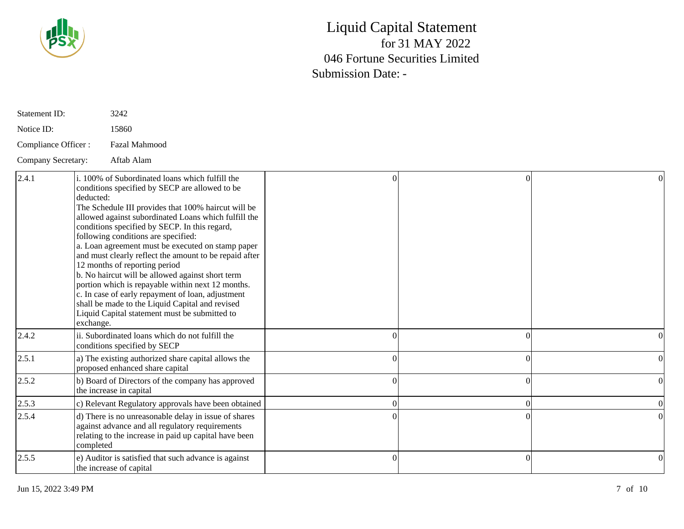

| Statement ID:       | 3242                                                                                                                                                                                                                                                                                                                                                                                                                                                                                                                                                                                                                                                                                                                                                 |   |  |
|---------------------|------------------------------------------------------------------------------------------------------------------------------------------------------------------------------------------------------------------------------------------------------------------------------------------------------------------------------------------------------------------------------------------------------------------------------------------------------------------------------------------------------------------------------------------------------------------------------------------------------------------------------------------------------------------------------------------------------------------------------------------------------|---|--|
| Notice ID:          | 15860                                                                                                                                                                                                                                                                                                                                                                                                                                                                                                                                                                                                                                                                                                                                                |   |  |
| Compliance Officer: | Fazal Mahmood                                                                                                                                                                                                                                                                                                                                                                                                                                                                                                                                                                                                                                                                                                                                        |   |  |
| Company Secretary:  | Aftab Alam                                                                                                                                                                                                                                                                                                                                                                                                                                                                                                                                                                                                                                                                                                                                           |   |  |
| 2.4.1               | i. 100% of Subordinated loans which fulfill the<br>conditions specified by SECP are allowed to be<br>deducted:<br>The Schedule III provides that 100% haircut will be<br>allowed against subordinated Loans which fulfill the<br>conditions specified by SECP. In this regard,<br>following conditions are specified:<br>a. Loan agreement must be executed on stamp paper<br>and must clearly reflect the amount to be repaid after<br>12 months of reporting period<br>b. No haircut will be allowed against short term<br>portion which is repayable within next 12 months.<br>c. In case of early repayment of loan, adjustment<br>shall be made to the Liquid Capital and revised<br>Liquid Capital statement must be submitted to<br>exchange. |   |  |
| 2.4.2               | ii. Subordinated loans which do not fulfill the<br>conditions specified by SECP                                                                                                                                                                                                                                                                                                                                                                                                                                                                                                                                                                                                                                                                      | ∩ |  |
| 2.5.1               | a) The existing authorized share capital allows the<br>proposed enhanced share capital                                                                                                                                                                                                                                                                                                                                                                                                                                                                                                                                                                                                                                                               |   |  |
| 2.5.2               | b) Board of Directors of the company has approved<br>the increase in capital                                                                                                                                                                                                                                                                                                                                                                                                                                                                                                                                                                                                                                                                         | 0 |  |
| 2.5.3               | c) Relevant Regulatory approvals have been obtained                                                                                                                                                                                                                                                                                                                                                                                                                                                                                                                                                                                                                                                                                                  |   |  |
| 2.5.4               | d) There is no unreasonable delay in issue of shares<br>against advance and all regulatory requirements<br>relating to the increase in paid up capital have been<br>completed                                                                                                                                                                                                                                                                                                                                                                                                                                                                                                                                                                        |   |  |
| 2.5.5               | e) Auditor is satisfied that such advance is against<br>the increase of capital                                                                                                                                                                                                                                                                                                                                                                                                                                                                                                                                                                                                                                                                      |   |  |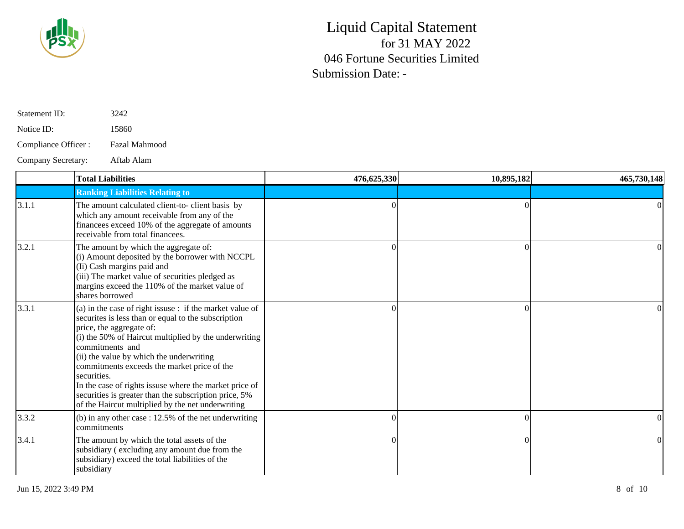

| Statement ID:        | 3242                 |
|----------------------|----------------------|
| Notice ID:           | 15860                |
| Compliance Officer : | <b>Fazal Mahmood</b> |

Company Secretary: Aftab Alam

|       | <b>Total Liabilities</b>                                                                                                                                                                                                                                                                                                                                                                                                                                                                                   | 476,625,330 | 10,895,182 | 465,730,148 |
|-------|------------------------------------------------------------------------------------------------------------------------------------------------------------------------------------------------------------------------------------------------------------------------------------------------------------------------------------------------------------------------------------------------------------------------------------------------------------------------------------------------------------|-------------|------------|-------------|
|       | <b>Ranking Liabilities Relating to</b>                                                                                                                                                                                                                                                                                                                                                                                                                                                                     |             |            |             |
| 3.1.1 | The amount calculated client-to- client basis by<br>which any amount receivable from any of the<br>financees exceed 10% of the aggregate of amounts<br>receivable from total financees.                                                                                                                                                                                                                                                                                                                    |             |            | $\Omega$    |
| 3.2.1 | The amount by which the aggregate of:<br>(i) Amount deposited by the borrower with NCCPL<br>(Ii) Cash margins paid and<br>(iii) The market value of securities pledged as<br>margins exceed the 110% of the market value of<br>shares borrowed                                                                                                                                                                                                                                                             |             |            |             |
| 3.3.1 | (a) in the case of right issuse : if the market value of<br>securities is less than or equal to the subscription<br>price, the aggregate of:<br>(i) the 50% of Haircut multiplied by the underwriting<br>commitments and<br>(ii) the value by which the underwriting<br>commitments exceeds the market price of the<br>securities.<br>In the case of rights issuse where the market price of<br>securities is greater than the subscription price, 5%<br>of the Haircut multiplied by the net underwriting |             |            |             |
| 3.3.2 | (b) in any other case $: 12.5\%$ of the net underwriting<br><i>commitments</i>                                                                                                                                                                                                                                                                                                                                                                                                                             |             |            |             |
| 3.4.1 | The amount by which the total assets of the<br>subsidiary (excluding any amount due from the<br>subsidiary) exceed the total liabilities of the<br>subsidiary                                                                                                                                                                                                                                                                                                                                              | $\Omega$    |            | $\Omega$    |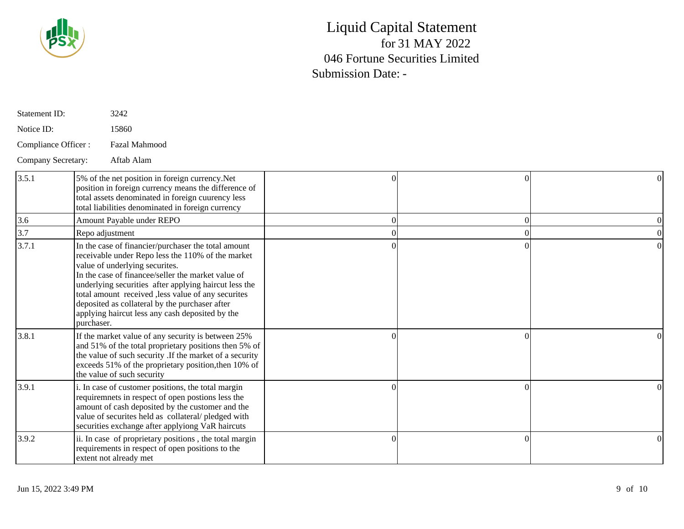

| Statement ID:       | 3242                                                                                                                                                                                                                                                                                                                                                                                                                               |    |          |  |
|---------------------|------------------------------------------------------------------------------------------------------------------------------------------------------------------------------------------------------------------------------------------------------------------------------------------------------------------------------------------------------------------------------------------------------------------------------------|----|----------|--|
| Notice ID:          | 15860                                                                                                                                                                                                                                                                                                                                                                                                                              |    |          |  |
| Compliance Officer: | Fazal Mahmood                                                                                                                                                                                                                                                                                                                                                                                                                      |    |          |  |
| Company Secretary:  | Aftab Alam                                                                                                                                                                                                                                                                                                                                                                                                                         |    |          |  |
| 3.5.1               | 5% of the net position in foreign currency. Net<br>position in foreign currency means the difference of<br>total assets denominated in foreign cuurency less<br>total liabilities denominated in foreign currency                                                                                                                                                                                                                  | Ωl | $\Omega$ |  |
| 3.6                 | Amount Payable under REPO                                                                                                                                                                                                                                                                                                                                                                                                          | Ωl | $\Omega$ |  |
| 3.7                 | Repo adjustment                                                                                                                                                                                                                                                                                                                                                                                                                    |    |          |  |
| 3.7.1               | In the case of financier/purchaser the total amount<br>receivable under Repo less the 110% of the market<br>value of underlying securites.<br>In the case of financee/seller the market value of<br>underlying securities after applying haircut less the<br>total amount received ,less value of any securites<br>deposited as collateral by the purchaser after<br>applying haircut less any cash deposited by the<br>purchaser. |    | $\Omega$ |  |
| 3.8.1               | If the market value of any security is between 25%<br>and 51% of the total proprietary positions then 5% of<br>the value of such security .If the market of a security<br>exceeds 51% of the proprietary position, then 10% of<br>the value of such security                                                                                                                                                                       |    |          |  |
| 3.9.1               | i. In case of customer positions, the total margin<br>requiremnets in respect of open postions less the<br>amount of cash deposited by the customer and the<br>value of securites held as collateral/pledged with<br>securities exchange after applyiong VaR haircuts                                                                                                                                                              |    | $\Omega$ |  |
| 3.9.2               | ii. In case of proprietary positions, the total margin<br>requirements in respect of open positions to the<br>extent not already met                                                                                                                                                                                                                                                                                               |    | $\Omega$ |  |